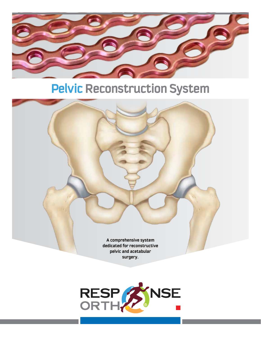

# **Pelvic Reconstruction System**



**surgery.**

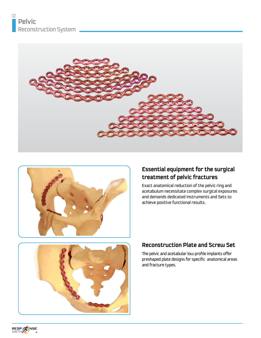



### **Essential equipment for the surgical treatment of pelvic fractures**

Exact anatomical reduction of the pelvic ring and acetabulum necessitate complex surgical exposures and demands dedicated Instruments and Sets to achieve positive functional results.



#### **Reconstruction Plate and Screw Set**

The pelvic and acetabular low profile implants offer preshaped plate designs for specific anatomical areas and fracture types.

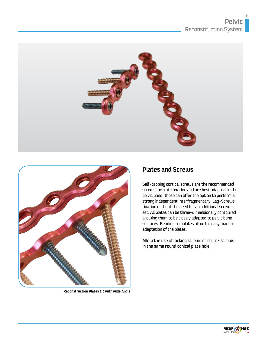



**Reconstruction Plates 3,5 with wide Angle**

#### **Plates and Screws**

Self-tapping cortical screws are the recommended screws for plate fixation and are best adapted to the pelvic bone. These can offer the option to perform a strong independent interfragmentary Lag-Screws fixation without the need for an additional screw set. All plates can be three-dimensionally contoured allowing them to be closely adapted to pelvic bone surfaces. Bending templates allow for easy manual adaptation of the plates.

Allow the use of locking screws or cortex screws in the same round conical plate hole.

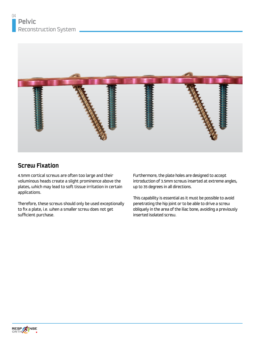

### **Screw Fixation**

4.5mm cortical screws are often too large and their voluminous heads create a slight prominence above the plates, which may lead to soft tissue irritation in certain applications.

Therefore, these screws should only be used exceptionally to fix a plate, i.e. when a smaller screw does not get sufficient purchase.

Furthermore, the plate holes are designed to accept introduction of 3.5mm screws inserted at extreme angles, up to 35 degrees in all directions.

This capability is essential as it must be possible to avoid penetrating the hip joint or to be able to drive a screw obliquely in the area of the iliac bone, avoiding a previously inserted isolated screw.

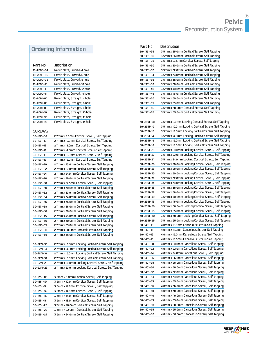### **Ordering Information**

| Part No.         | Description                     |
|------------------|---------------------------------|
| 10-2090-04       | Pelvic plate, Curved, 4 hole    |
| 10-2090-06       | Pelvic plate, Curved, 6 hole    |
| 10-2090-08       | Pelvic plate, Curved, 8 hole    |
| 10-2090-10       | Pelvic plate, Curved, 10 hole   |
| $10 - 2090 - 12$ | Pelvic plate, Curved, 12 hole   |
| $10 - 2090 - 14$ | Pelvic plate, Curved, 14 hole   |
| 10-2091-04       | Pelvic plate, Straight, 4 hole  |
| 10-2091-06       | Pelvic plate, Straight, 6 hole  |
| 10-2091-08       | Pelvic plate, Straight, 8 hole  |
| 10-2091-10       | Pelvic plate, Straight, 10 hole |
| 10-2091-12       | Pelvic plate, Straight, 12 hole |
| 10-2091-14       | Pelvic plate, Straight, 14 hole |
|                  |                                 |

#### SCREWS

| 30-1271-08 | 2.7mm x 8.0mm Cortical Screw, Self Tapping          |
|------------|-----------------------------------------------------|
| 30-1271-10 | 2.7mm x 10.0mm Cortical Screw, Self Tapping         |
| 30-1271-12 | 2.7mm x 12.0mm Cortical Screw, Self Tapping         |
| 30-1271-14 | 2.7mm x 14.0mm Cortical Screw, Self Tapping         |
| 30-1271-16 | 2.7mm x 16.0mm Cortical Screw, Self Tapping         |
| 30-1271-18 | 2.7mm x 18.0mm Cortical Screw, Self Tapping         |
| 30-1271-20 | 2.7mm x 20.0mm Cortical Screw, Self Tapping         |
| 30-1271-22 | 2.7mm x 22.0mm Cortical Screw, Self Tapping         |
| 30-1271-24 | 2.7mm x 24.0mm Cortical Screw, Self Tapping         |
| 30-1271-26 | 2.7mm x 26.0mm Cortical Screw, Self Tapping         |
| 30-1271-28 | 2.7mm x 27.5mm Cortical Screw, Self Tapping         |
| 30-1271-30 | 2.7mm x 30.0mm Cortical Screw, Self Tapping         |
| 30-1271-32 | 2.7mm x 32.0mm Cortical Screw, Self Tapping         |
| 30-1271-34 | 2.7mm x 34.0mm Cortical Screw, Self Tapping         |
| 30-1271-36 | 2.7mm x 36.0mm Cortical Screw, Self Tapping         |
| 30-1271-38 | 2.7mm x 38.0mm Cortical Screw, Self Tapping         |
| 30-1271-40 | 2.7mm x 40.0mm Cortical Screw, Self Tapping         |
| 30-1271-45 | 2.7mm x 45.0mm Cortical Screw, Self Tapping         |
| 30-1271-50 | 2.7mm x 50.0mm Cortical Screw, Self Tapping         |
| 30-1271-55 | 2.7mm x 55.0mm Cortical Screw, Self Tapping         |
| 30-1271-60 | 2.7mm x 60.0mm Cortical Screw, Self Tapping         |
| 30-1271-65 | 2.7mm x 65.0mm Cortical Screw, Self Tapping         |
|            |                                                     |
| 30-2271-12 | 2.7mm x 12.0mm Locking Cortical Screw, Self Tapping |
| 30-2271-14 | 2.7mm x 14.0mm Locking Cortical Screw, Self Tapping |
| 30-2271-16 | 2.7mm x 16.0mm Locking Cortical Screw, Self Tapping |
| 30-2271-18 | 2.7mm x 18.0mm Locking Cortical Screw, Self Tapping |
| 30-2271-20 | 2.7mm x 20.0mm Locking Cortical Screw, Self Tapping |
| 30-2271-22 | 2.7mm x 22.0mm Locking Cortical Screw, Self Tapping |
|            |                                                     |
| 30-1351-08 | 3.5mm x 8.0mm Cortical Screw, Self Tapping          |
| 30-1351-10 | 3.5mm x 10.0mm Cortical Screw, Self Tapping         |
| 30-1351-12 | 3.5mm x 12.0mm Cortical Screw, Self Tapping         |
| 30-1351-14 | 3.5mm x 14.0mm Cortical Screw, Self Tapping         |
| 30-1351-16 | 3.5mm x 16.0mm Cortical Screw, Self Tapping         |
| 30-1351-18 | 3.5mm x 18.0mm Cortical Screw, Self Tapping         |
| 30-1351-20 | 3,5mm x 20.0mm Cortical Screw, Self Tapping         |
| 30-1351-22 | 3.5mm x 22.0mm Cortical Screw, Self Tapping         |
| 30-1351-24 | 3.5mm x 24.0mm Cortical Screw, Self Tapping         |

| Part No.   | Description                                         |
|------------|-----------------------------------------------------|
| 30-1351-25 | 3.5mm x 25.0mm Cortical Screw, Self Tapping         |
| 30-1351-26 | 3.5mm x 26.0mm Cortical Screw, Self Tapping         |
| 30-1351-28 | 3.5mm x 27.5mm Cortical Screw, Self Tapping         |
| 30-1351-30 | 3,5mm x 30.0mm Cortical Screw, Self Tapping         |
| 30-1351-32 | 3.5mm x 32.0mm Cortical Screw, Self Tapping         |
| 30-1351-34 | 3.5mm x 34.0mm Cortical Screw, Self Tapping         |
| 30-1351-36 | 3.5mm x 36.0mm Cortical Screw, Self Tapping         |
| 30-1351-38 | 3.5mm x 38.0mm Cortical Screw, Self Tapping         |
| 30-1351-40 | 3,5mm x 40.0mm Cortical Screw, Self Tapping         |
| 30-1351-45 | 3,5mm x 45.0mm Cortical Screw, Self Tapping         |
| 30-1351-50 | 3,5mm x 50.0mm Cortical Screw, Self Tapping         |
| 30-1351-55 | 3,5mm x 55.0mm Cortical Screw, Self Tapping         |
| 30-1351-60 | 3.5mm x 60.0mm Cortical Screw, Self Tapping         |
| 30-1351-65 | 3.5mm x 65.0mm Cortical Screw, Self Tapping         |
|            |                                                     |
| 30-2351-08 | 3.5mm x 8.0mm Locking Cortical Screw, Self Tapping  |
| 30-2351-10 | 3.5mm x 10.0mm Locking Cortical Screw, Self Tapping |
| 30-2351-12 | 3.5mm x 12.0mm Locking Cortical Screw, Self Tapping |
| 30-2351-14 | 3.5mm x 14.0mm Locking Cortical Screw, Self Tapping |
| 30-2351-16 | 3.5mm x 16.0mm Locking Cortical Screw, Self Tapping |
| 30-2351-18 | 3.5mm x 18.0mm Locking Cortical Screw, Self Tapping |
| 30-2351-20 | 3.5mm x 20.0mm Locking Cortical Screw, Self Tapping |
| 30-2351-22 | 3.5mm x 22.0mm Locking Cortical Screw, Self Tapping |
| 30-2351-24 | 3.5mm x 24.0mm Locking Cortical Screw, Self Tapping |
| 30-2351-26 | 3.5mm x 26.0mm Locking Cortical Screw, Self Tapping |
| 30-2351-28 | 3.5mm x 28.0mm Locking Cortical Screw, Self Tapping |
| 30-2351-30 | 3.5mm x 30.0mm Locking Cortical Screw, Self Tapping |
| 30-2351-32 | 3.5mm x 32.0mm Locking Cortical Screw, Self Tapping |
| 30-2351-34 | 3.5mm x 34.0mm Locking Cortical Screw, Self Tapping |
| 30-2351-36 | 3.5mm x 36.0mm Locking Cortical Screw, Self Tapping |
| 30-2351-38 | 3.5mm x 38.0mm Locking Cortical Screw, Self Tapping |
| 30-2351-40 | 3.5mm x 40.0mm Locking Cortical Screw, Self Tapping |
| 30-2351-45 | 3.5mm x 45.0mm Locking Cortical Screw, Self Tapping |
| 30-2351-50 | 3.5mm x 50.0mm Locking Cortical Screw, Self Tapping |
| 30-2351-55 | 3.5mm x 55.0mm Locking Cortical Screw, Self Tapping |
| 30-2351-60 | 3.5mm x 60.0mm Locking Cortical Screw, Self Tapping |
| 30-2351-65 | 3.5mm x 65.0mm Locking Cortical Screw, Self Tapping |
| 30-1401-12 | 4.0mm x 12.0mm Cancellous Screw, Self Tapping       |
| 30-1401-14 | 4.0mm x 14.0mm Cancellous Screw, Self Tapping       |
| 30-1401-16 | 4.0mm x 16.0mm Cancellous Screw, Self Tapping       |
| 30-1401-18 | 4.0mm x 18.0mm Cancellous Screw, Self Tapping       |
| 30-1401-20 | 4.0mm x 20.0mm Cancellous Screw, Self Tapping       |
| 30-1401-22 | 4.0mm x 22.0mm Cancellous Screw, Self Tapping       |
| 30-1401-24 | 4.0mm x 24.0mm Cancellous Screw, Self Tapping       |
| 30-1401-26 | 4.0mm x 26.0mm Cancellous Screw, Self Tapping       |
| 30-1401-28 | 4.0mm x 28.0mm Cancellous Screw, Self Tapping       |
| 30-1401-30 | 4.0mm x 30.0mm Cancellous Screw, Self Tapping       |
| 30-1401-32 | 4.0mm x 32.0mm Cancellous Screw, Self Tapping       |
| 30-1401-34 | 4.0mm x 34.0mm Cancellous Screw, Self Tapping       |
| 30-1401-35 | 4.0mm x 35.0mm Cancellous Screw, Self Tapping       |
| 30-1401-36 | 4.0mm x 36.0mm Cancellous Screw, Self Tapping       |
| 30-1401-38 | 4.0mm x 38.0mm Cancellous Screw, Self Tapping       |
| 30-1401-40 | 4.0mm x 40.0mm Cancellous Screw, Self Tapping       |
| 30-1401-45 | 4.0mm x 45.0mm Cancellous Screw, Self Tapping       |
| 30-1401-50 | 4.0mm x 50.0mm Cancellous Screw, Self Tapping       |
| 30-1401-55 | 4.0mm x 55.0mm Cancellous Screw, Self Tapping       |
| 30-1401-60 | 4.0mm x 60.0mm Cancellous Screw, Self Tapping       |